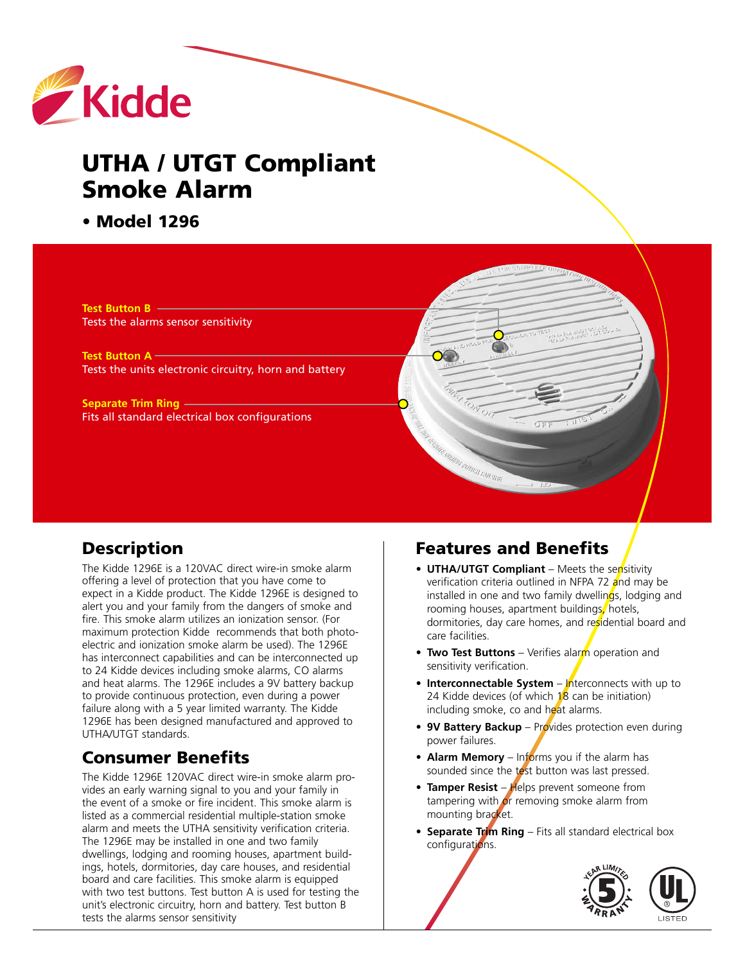

# **UTHA / UTGT Compliant Smoke Alarm**

#### **• Model 1296**

**Test Button B** Tests the alarms sensor sensitivity

**Test Button A** Tests the units electronic circuitry, horn and battery

**Separate Trim Ring** Fits all standard electrical box configurations

#### **Description**

The Kidde 1296E is a 120VAC direct wire-in smoke alarm offering a level of protection that you have come to expect in a Kidde product. The Kidde 1296E is designed to alert you and your family from the dangers of smoke and fire. This smoke alarm utilizes an ionization sensor. (For maximum protection Kidde recommends that both photoelectric and ionization smoke alarm be used). The 1296E has interconnect capabilities and can be interconnected up to 24 Kidde devices including smoke alarms, CO alarms and heat alarms. The 1296E includes a 9V battery backup to provide continuous protection, even during a power failure along with a 5 year limited warranty. The Kidde 1296E has been designed manufactured and approved to UTHA/UTGT standards.

# **Consumer Benefits**

The Kidde 1296E 120VAC direct wire-in smoke alarm provides an early warning signal to you and your family in the event of a smoke or fire incident. This smoke alarm is listed as a commercial residential multiple-station smoke alarm and meets the UTHA sensitivity verification criteria. The 1296E may be installed in one and two family dwellings, lodging and rooming houses, apartment buildings, hotels, dormitories, day care houses, and residential board and care facilities. This smoke alarm is equipped with two test buttons. Test button A is used for testing the unit's electronic circuitry, horn and battery. Test button B tests the alarms sensor sensitivity

## **Features and Benefits**

 $\infty$ 

menni roman mining

- **UTHA/UTGT Compliant** Meets the sensitivity verification criteria outlined in NFPA 72 and may be installed in one and two family dwellings, lodging and rooming houses, apartment buildings, hotels, dormitories, day care homes, and residential board and care facilities.
- **Two Test Buttons** Verifies alarm operation and sensitivity verification.
- **•** Interconnectable System Interconnects with up to 24 Kidde devices (of which  $18$  can be initiation) including smoke, co and heat alarms.
- **9V Battery Backup** Provides protection even during power failures.
- **Alarm Memory** Informs you if the alarm has sounded since the test button was last pressed.
- Tamper Resist Helps prevent someone from tampering with  $\sigma$ r removing smoke alarm from mounting bracket.
- **• Separate Trim Ring** Fits all standard electrical box configurations.